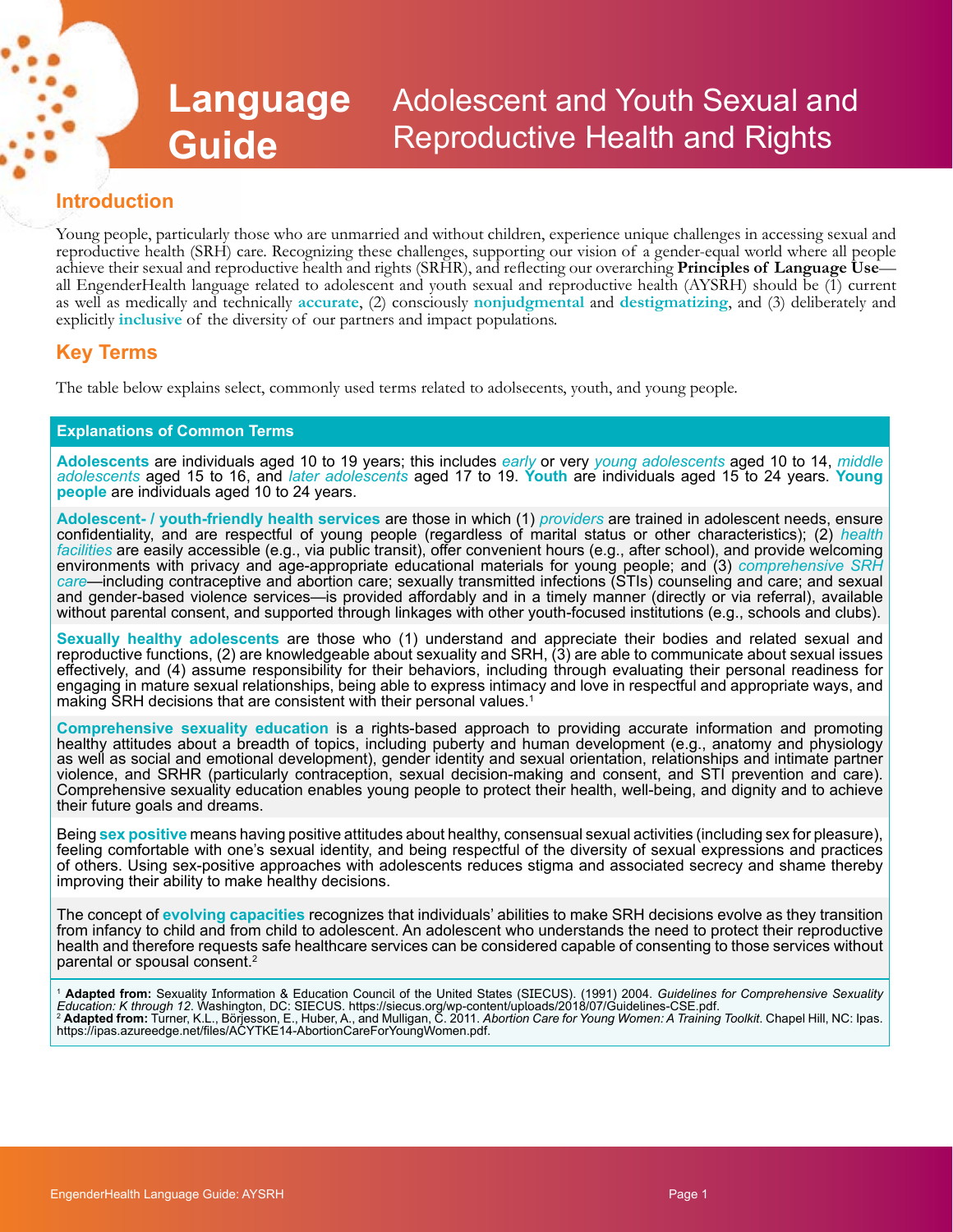### **Language Guide** Adolescent and Youth Sexual and Reproductive Health and Rights

## **Introduction**

Young people, particularly those who are unmarried and without children, experience unique challenges in accessing sexual and reproductive health (SRH) care. Recognizing these challenges, supporting our vision of a gender-equal world where all people achieve their sexual and reproductive health and rights (SRHR), and reflecting our overarching **Principles of Language Use—** all EngenderHealth language related to adolescent and youth sexual and reproductive health (AYSRH as well as medically and technically **accurate**, (2) consciously **nonjudgmental** and **destigmatizing**, and (3) deliberately and explicitly **inclusive** of the diversity of our partners and impact populations.

## **Key Terms**

The table below explains select, commonly used terms related to adolsecents, youth, and young people.

#### **Explanations of Common Terms**

**Adolescents** are individuals aged 10 to 19 years; this includes *early* or very *young adolescents* aged 10 to 14, *middle adolescents* aged 15 to 16, and *later adolescents* aged 17 to 19. **Youth** are individuals aged 15 to 24 years. **Young people** are individuals aged 10 to 24 years.

**Adolescent- / youth-friendly health services** are those in which (1) *providers* are trained in adolescent needs, ensure confidentiality, and are respectful of young people (regardless of marital status or other characteristics); (2) *health facilities* are easily accessible (e.g., via public transit), offer convenient hours (e.g., after school), and provide welcoming environments with privacy and age-appropriate educational materials for young people; and (3) *comprehensive SRH care*—including contraceptive and abortion care; sexually transmitted infections (STIs) counseling and care; and sexual and gender-based violence services—is provided affordably and in a timely manner (directly or via referral), available without parental consent, and supported through linkages with other youth-focused institutions (e.g., schools and clubs).

**Sexually healthy adolescents** are those who (1) understand and appreciate their bodies and related sexual and reproductive functions, (2) are knowledgeable about sexuality and SRH, (3) are able to communicate about sexual issues effectively, and (4) assume responsibility for their behaviors, including through evaluating their personal readiness for engaging in mature sexual relationships, being able to express intimacy and love in respectful and appropriate ways, and making SRH decisions that are consistent with their personal values.<sup>1</sup>

**Comprehensive sexuality education** is a rights-based approach to providing accurate information and promoting healthy attitudes about a breadth of topics, including puberty and human development (e.g., anatomy and physiology as well as social and emotional development), gender identity and sexual orientation, relationships and intimate partner violence, and SRHR (particularly contraception, sexual decision-making and consent, and STI prevention and care). Comprehensive sexuality education enables young people to protect their health, well-being, and dignity and to achieve their future goals and dreams.

Being **sex positive** means having positive attitudes about healthy, consensual sexual activities (including sex for pleasure), feeling comfortable with one's sexual identity, and being respectful of the diversity of sexual expressions and practices of others. Using sex-positive approaches with adolescents reduces stigma and associated secrecy and shame thereby improving their ability to make healthy decisions.

The concept of **evolving capacities** recognizes that individuals' abilities to make SRH decisions evolve as they transition from infancy to child and from child to adolescent. An adolescent who understands the need to protect their reproductive health and therefore requests safe healthcare services can be considered capable of consenting to those services without parental or spousal consent.<sup>2</sup>

<sup>1</sup> **Adapted from:** Sexuality Information & Education Council of the United States (SIECUS). (1991) 2004. *Guidelines for Comprehensive Sexuality Education: K through 12*. Washington, DC: SIECUS. https://siecus.org/wp-content/uploads/2018/07/Guidelines-CSE.pdf.<br><sup>2</sup> **Adapted from:** Turner, K.L., Börjesson, E., Huber, A., and Mulligan, C. 2011. *Abortion Care for You*